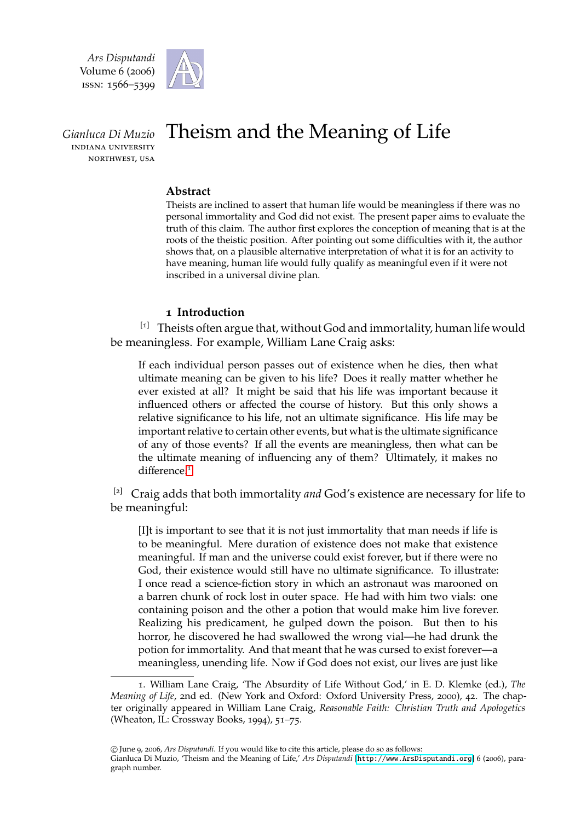*Ars Disputandi* Volume 6 (2006) ISSN: 1566-5399



*Gianluca Di Muzio* **INDIANA UNIVERSITY** NORTHWEST, USA

# Theism and the Meaning of Life

## **Abstract**

Theists are inclined to assert that human life would be meaningless if there was no personal immortality and God did not exist. The present paper aims to evaluate the truth of this claim. The author first explores the conception of meaning that is at the roots of the theistic position. After pointing out some difficulties with it, the author shows that, on a plausible alternative interpretation of what it is for an activity to have meaning, human life would fully qualify as meaningful even if it were not inscribed in a universal divine plan.

# 1 **Introduction**

 $[1]$  Theists often argue that, without God and immortality, human life would be meaningless. For example, William Lane Craig asks:

If each individual person passes out of existence when he dies, then what ultimate meaning can be given to his life? Does it really matter whether he ever existed at all? It might be said that his life was important because it influenced others or affected the course of history. But this only shows a relative significance to his life, not an ultimate significance. His life may be important relative to certain other events, but what is the ultimate significance of any of those events? If all the events are meaningless, then what can be the ultimate meaning of influencing any of them? Ultimately, it makes no difference.<sup>[1](#page-0-0)</sup>

[2] Craig adds that both immortality *and* God's existence are necessary for life to be meaningful:

[I]t is important to see that it is not just immortality that man needs if life is to be meaningful. Mere duration of existence does not make that existence meaningful. If man and the universe could exist forever, but if there were no God, their existence would still have no ultimate significance. To illustrate: I once read a science-fiction story in which an astronaut was marooned on a barren chunk of rock lost in outer space. He had with him two vials: one containing poison and the other a potion that would make him live forever. Realizing his predicament, he gulped down the poison. But then to his horror, he discovered he had swallowed the wrong vial—he had drunk the potion for immortality. And that meant that he was cursed to exist forever—a meaningless, unending life. Now if God does not exist, our lives are just like

<span id="page-0-0"></span><sup>1</sup>. William Lane Craig, 'The Absurdity of Life Without God,' in E. D. Klemke (ed.), *The Meaning of Life*, 2nd ed. (New York and Oxford: Oxford University Press, 2000), 42. The chapter originally appeared in William Lane Craig, *Reasonable Faith: Christian Truth and Apologetics* (Wheaton, IL: Crossway Books, 1994), 51–75.

c June 9, 2006, *Ars Disputandi*. If you would like to cite this article, please do so as follows: Gianluca Di Muzio, 'Theism and the Meaning of Life,' *Ars Disputandi* [<http://www.ArsDisputandi.org>] 6 (2006), paragraph number.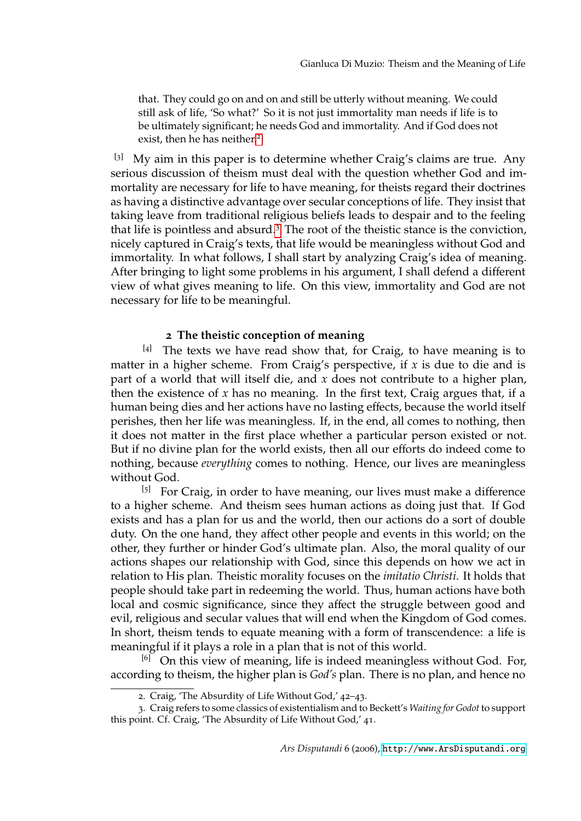that. They could go on and on and still be utterly without meaning. We could still ask of life, 'So what?' So it is not just immortality man needs if life is to be ultimately significant; he needs God and immortality. And if God does not exist, then he has neither.<sup>[2](#page-1-0)</sup>

 $[3]$  My aim in this paper is to determine whether Craig's claims are true. Any serious discussion of theism must deal with the question whether God and immortality are necessary for life to have meaning, for theists regard their doctrines as having a distinctive advantage over secular conceptions of life. They insist that taking leave from traditional religious beliefs leads to despair and to the feeling that life is pointless and absurd.[3](#page-1-1) The root of the theistic stance is the conviction, nicely captured in Craig's texts, that life would be meaningless without God and immortality. In what follows, I shall start by analyzing Craig's idea of meaning. After bringing to light some problems in his argument, I shall defend a different view of what gives meaning to life. On this view, immortality and God are not necessary for life to be meaningful.

#### 2 **The theistic conception of meaning**

 $[4]$  The texts we have read show that, for Craig, to have meaning is to matter in a higher scheme. From Craig's perspective, if *x* is due to die and is part of a world that will itself die, and *x* does not contribute to a higher plan, then the existence of  $x$  has no meaning. In the first text, Craig argues that, if a human being dies and her actions have no lasting effects, because the world itself perishes, then her life was meaningless. If, in the end, all comes to nothing, then it does not matter in the first place whether a particular person existed or not. But if no divine plan for the world exists, then all our efforts do indeed come to nothing, because *everything* comes to nothing. Hence, our lives are meaningless without God.

[5] For Craig, in order to have meaning, our lives must make a difference to a higher scheme. And theism sees human actions as doing just that. If God exists and has a plan for us and the world, then our actions do a sort of double duty. On the one hand, they affect other people and events in this world; on the other, they further or hinder God's ultimate plan. Also, the moral quality of our actions shapes our relationship with God, since this depends on how we act in relation to His plan. Theistic morality focuses on the *imitatio Christi*. It holds that people should take part in redeeming the world. Thus, human actions have both local and cosmic significance, since they affect the struggle between good and evil, religious and secular values that will end when the Kingdom of God comes. In short, theism tends to equate meaning with a form of transcendence: a life is meaningful if it plays a role in a plan that is not of this world.

 $[6]$  On this view of meaning, life is indeed meaningless without God. For, according to theism, the higher plan is *God's* plan. There is no plan, and hence no

<span id="page-1-1"></span><span id="page-1-0"></span><sup>2</sup>. Craig, 'The Absurdity of Life Without God,' 42–43.

<sup>3</sup>. Craig refers to some classics of existentialism and to Beckett's *Waiting for Godot* to support this point. Cf. Craig, 'The Absurdity of Life Without God,' 41.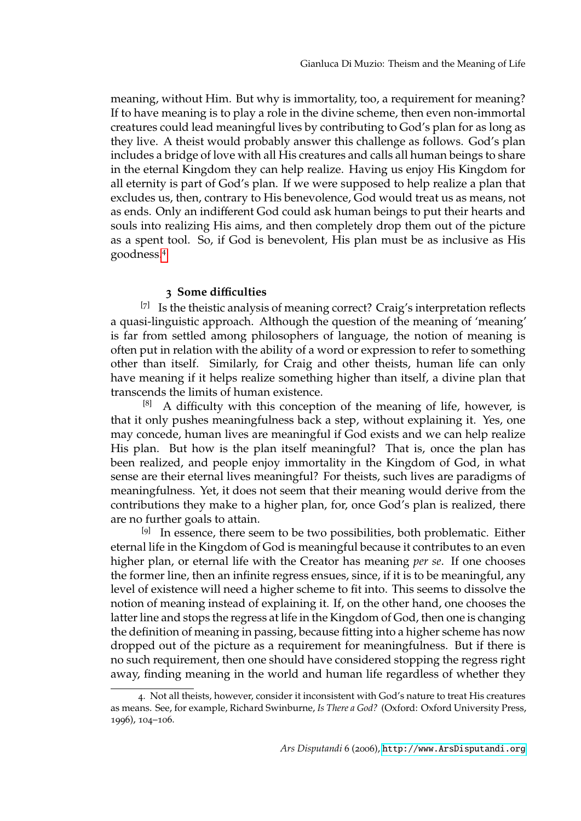meaning, without Him. But why is immortality, too, a requirement for meaning? If to have meaning is to play a role in the divine scheme, then even non-immortal creatures could lead meaningful lives by contributing to God's plan for as long as they live. A theist would probably answer this challenge as follows. God's plan includes a bridge of love with all His creatures and calls all human beings to share in the eternal Kingdom they can help realize. Having us enjoy His Kingdom for all eternity is part of God's plan. If we were supposed to help realize a plan that excludes us, then, contrary to His benevolence, God would treat us as means, not as ends. Only an indifferent God could ask human beings to put their hearts and souls into realizing His aims, and then completely drop them out of the picture as a spent tool. So, if God is benevolent, His plan must be as inclusive as His goodness.[4](#page-2-0)

### 3 **Some di**ffi**culties**

 $[7]$  Is the theistic analysis of meaning correct? Craig's interpretation reflects a quasi-linguistic approach. Although the question of the meaning of 'meaning' is far from settled among philosophers of language, the notion of meaning is often put in relation with the ability of a word or expression to refer to something other than itself. Similarly, for Craig and other theists, human life can only have meaning if it helps realize something higher than itself, a divine plan that transcends the limits of human existence.

 $[8]$  A difficulty with this conception of the meaning of life, however, is that it only pushes meaningfulness back a step, without explaining it. Yes, one may concede, human lives are meaningful if God exists and we can help realize His plan. But how is the plan itself meaningful? That is, once the plan has been realized, and people enjoy immortality in the Kingdom of God, in what sense are their eternal lives meaningful? For theists, such lives are paradigms of meaningfulness. Yet, it does not seem that their meaning would derive from the contributions they make to a higher plan, for, once God's plan is realized, there are no further goals to attain.

<sup>[9]</sup> In essence, there seem to be two possibilities, both problematic. Either eternal life in the Kingdom of God is meaningful because it contributes to an even higher plan, or eternal life with the Creator has meaning *per se*. If one chooses the former line, then an infinite regress ensues, since, if it is to be meaningful, any level of existence will need a higher scheme to fit into. This seems to dissolve the notion of meaning instead of explaining it. If, on the other hand, one chooses the latter line and stops the regress at life in the Kingdom of God, then one is changing the definition of meaning in passing, because fitting into a higher scheme has now dropped out of the picture as a requirement for meaningfulness. But if there is no such requirement, then one should have considered stopping the regress right away, finding meaning in the world and human life regardless of whether they

<span id="page-2-0"></span><sup>4</sup>. Not all theists, however, consider it inconsistent with God's nature to treat His creatures as means. See, for example, Richard Swinburne, *Is There a God?* (Oxford: Oxford University Press, 1996), 104–106.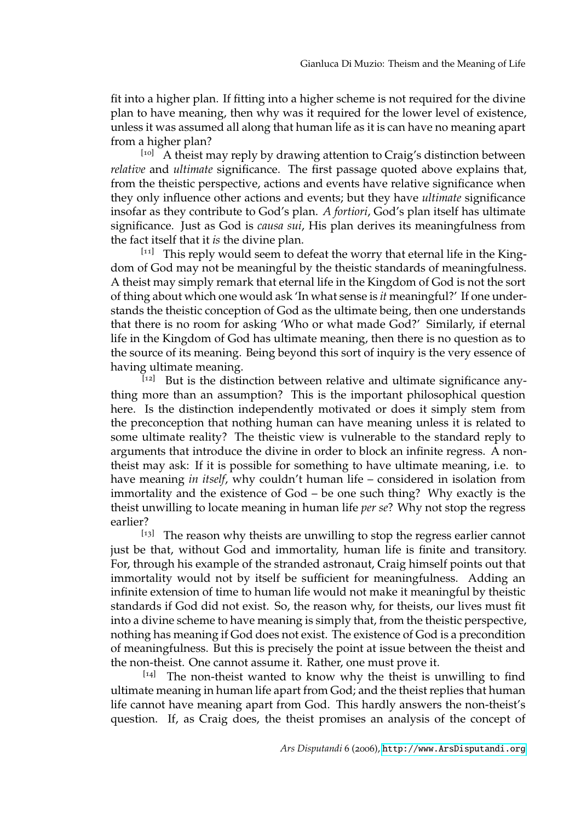fit into a higher plan. If fitting into a higher scheme is not required for the divine plan to have meaning, then why was it required for the lower level of existence, unless it was assumed all along that human life as it is can have no meaning apart from a higher plan?

[10] A theist may reply by drawing attention to Craig's distinction between *relative* and *ultimate* significance. The first passage quoted above explains that, from the theistic perspective, actions and events have relative significance when they only influence other actions and events; but they have *ultimate* significance insofar as they contribute to God's plan. *A fortiori*, God's plan itself has ultimate significance. Just as God is *causa sui*, His plan derives its meaningfulness from the fact itself that it *is* the divine plan.

[11] This reply would seem to defeat the worry that eternal life in the Kingdom of God may not be meaningful by the theistic standards of meaningfulness. A theist may simply remark that eternal life in the Kingdom of God is not the sort of thing about which one would ask 'In what sense is *it* meaningful?' If one understands the theistic conception of God as the ultimate being, then one understands that there is no room for asking 'Who or what made God?' Similarly, if eternal life in the Kingdom of God has ultimate meaning, then there is no question as to the source of its meaning. Being beyond this sort of inquiry is the very essence of having ultimate meaning.

 $\left[12\right]$  But is the distinction between relative and ultimate significance anything more than an assumption? This is the important philosophical question here. Is the distinction independently motivated or does it simply stem from the preconception that nothing human can have meaning unless it is related to some ultimate reality? The theistic view is vulnerable to the standard reply to arguments that introduce the divine in order to block an infinite regress. A nontheist may ask: If it is possible for something to have ultimate meaning, i.e. to have meaning *in itself*, why couldn't human life – considered in isolation from immortality and the existence of God – be one such thing? Why exactly is the theist unwilling to locate meaning in human life *per se*? Why not stop the regress earlier?

[13] The reason why theists are unwilling to stop the regress earlier cannot just be that, without God and immortality, human life is finite and transitory. For, through his example of the stranded astronaut, Craig himself points out that immortality would not by itself be sufficient for meaningfulness. Adding an infinite extension of time to human life would not make it meaningful by theistic standards if God did not exist. So, the reason why, for theists, our lives must fit into a divine scheme to have meaning is simply that, from the theistic perspective, nothing has meaning if God does not exist. The existence of God is a precondition of meaningfulness. But this is precisely the point at issue between the theist and the non-theist. One cannot assume it. Rather, one must prove it.

 $[14]$  The non-theist wanted to know why the theist is unwilling to find ultimate meaning in human life apart from God; and the theist replies that human life cannot have meaning apart from God. This hardly answers the non-theist's question. If, as Craig does, the theist promises an analysis of the concept of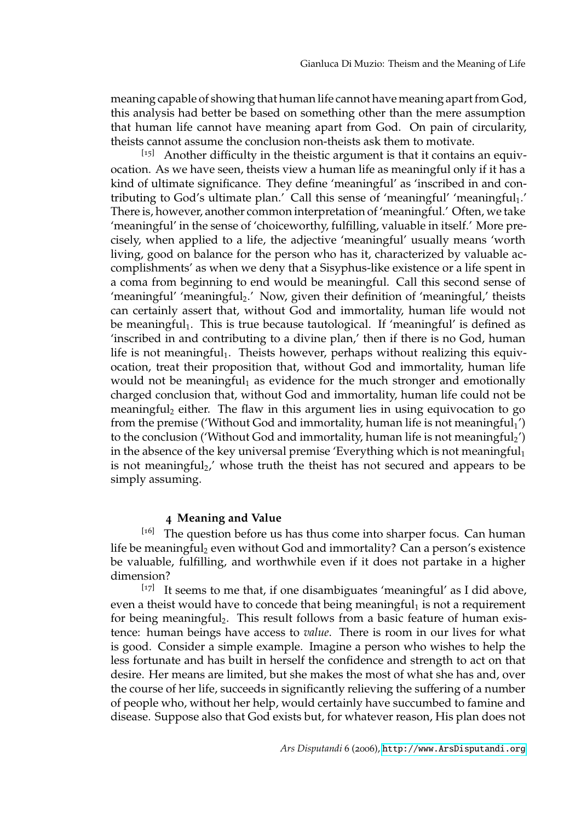meaning capable of showing that human life cannot have meaning apart from God, this analysis had better be based on something other than the mere assumption that human life cannot have meaning apart from God. On pain of circularity, theists cannot assume the conclusion non-theists ask them to motivate.

[15] Another difficulty in the theistic argument is that it contains an equivocation. As we have seen, theists view a human life as meaningful only if it has a kind of ultimate significance. They define 'meaningful' as 'inscribed in and contributing to God's ultimate plan.' Call this sense of 'meaningful' 'meaningful<sub>1</sub>.' There is, however, another common interpretation of 'meaningful.' Often, we take 'meaningful' in the sense of 'choiceworthy, fulfilling, valuable in itself.' More precisely, when applied to a life, the adjective 'meaningful' usually means 'worth living, good on balance for the person who has it, characterized by valuable accomplishments' as when we deny that a Sisyphus-like existence or a life spent in a coma from beginning to end would be meaningful. Call this second sense of 'meaningful' 'meaningful<sub>2</sub>.' Now, given their definition of 'meaningful,' theists can certainly assert that, without God and immortality, human life would not be meaningful<sub>1</sub>. This is true because tautological. If 'meaningful' is defined as 'inscribed in and contributing to a divine plan,' then if there is no God, human life is not meaningful<sub>1</sub>. Theists however, perhaps without realizing this equivocation, treat their proposition that, without God and immortality, human life would not be meaningful<sub>1</sub> as evidence for the much stronger and emotionally charged conclusion that, without God and immortality, human life could not be meaningful<sub>2</sub> either. The flaw in this argument lies in using equivocation to go from the premise ('Without God and immortality, human life is not meaningful<sub>1</sub>') to the conclusion ('Without God and immortality, human life is not meaningful<sub>2</sub>') in the absence of the key universal premise 'Everything which is not meaningful<sub>1</sub> is not meaningful<sub>2</sub>,' whose truth the theist has not secured and appears to be simply assuming.

#### 4 **Meaning and Value**

 $[16]$  The question before us has thus come into sharper focus. Can human life be meaningful<sub>2</sub> even without God and immortality? Can a person's existence be valuable, fulfilling, and worthwhile even if it does not partake in a higher dimension?

[17] It seems to me that, if one disambiguates 'meaningful' as I did above, even a theist would have to concede that being meaningful $_1$  is not a requirement for being meaningful<sub>2</sub>. This result follows from a basic feature of human existence: human beings have access to *value*. There is room in our lives for what is good. Consider a simple example. Imagine a person who wishes to help the less fortunate and has built in herself the confidence and strength to act on that desire. Her means are limited, but she makes the most of what she has and, over the course of her life, succeeds in significantly relieving the suffering of a number of people who, without her help, would certainly have succumbed to famine and disease. Suppose also that God exists but, for whatever reason, His plan does not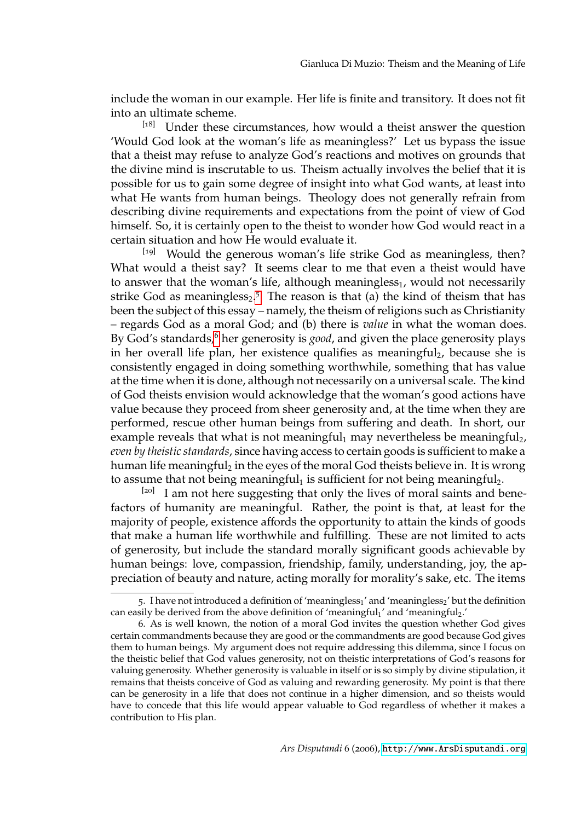include the woman in our example. Her life is finite and transitory. It does not fit into an ultimate scheme.

[18] Under these circumstances, how would a theist answer the question 'Would God look at the woman's life as meaningless?' Let us bypass the issue that a theist may refuse to analyze God's reactions and motives on grounds that the divine mind is inscrutable to us. Theism actually involves the belief that it is possible for us to gain some degree of insight into what God wants, at least into what He wants from human beings. Theology does not generally refrain from describing divine requirements and expectations from the point of view of God himself. So, it is certainly open to the theist to wonder how God would react in a certain situation and how He would evaluate it.

[19] Would the generous woman's life strike God as meaningless, then? What would a theist say? It seems clear to me that even a theist would have to answer that the woman's life, although meaningless $_1$ , would not necessarily strike God as meaningless<sub>2</sub>.<sup>[5](#page-5-0)</sup> The reason is that (a) the kind of theism that has been the subject of this essay – namely, the theism of religions such as Christianity – regards God as a moral God; and (b) there is *value* in what the woman does. By God's standards,<sup>[6](#page-5-1)</sup> her generosity is *good*, and given the place generosity plays in her overall life plan, her existence qualifies as meaningful<sub>2</sub>, because she is consistently engaged in doing something worthwhile, something that has value at the time when it is done, although not necessarily on a universal scale. The kind of God theists envision would acknowledge that the woman's good actions have value because they proceed from sheer generosity and, at the time when they are performed, rescue other human beings from suffering and death. In short, our example reveals that what is not meaningful<sub>1</sub> may nevertheless be meaningful<sub>2</sub>, *even by theistic standards*, since having access to certain goods is sufficient to make a human life meaningful<sub>2</sub> in the eyes of the moral God theists believe in. It is wrong to assume that not being meaningful<sub>1</sub> is sufficient for not being meaningful<sub>2</sub>.

 $[20]$  I am not here suggesting that only the lives of moral saints and benefactors of humanity are meaningful. Rather, the point is that, at least for the majority of people, existence affords the opportunity to attain the kinds of goods that make a human life worthwhile and fulfilling. These are not limited to acts of generosity, but include the standard morally significant goods achievable by human beings: love, compassion, friendship, family, understanding, joy, the appreciation of beauty and nature, acting morally for morality's sake, etc. The items

<span id="page-5-0"></span><sup>5.</sup> I have not introduced a definition of 'meaningless<sub>1</sub>' and 'meaningless<sub>2</sub>' but the definition can easily be derived from the above definition of 'meaningful<sub>1</sub>' and 'meaningful<sub>2</sub>.'

<span id="page-5-1"></span><sup>6</sup>. As is well known, the notion of a moral God invites the question whether God gives certain commandments because they are good or the commandments are good because God gives them to human beings. My argument does not require addressing this dilemma, since I focus on the theistic belief that God values generosity, not on theistic interpretations of God's reasons for valuing generosity. Whether generosity is valuable in itself or is so simply by divine stipulation, it remains that theists conceive of God as valuing and rewarding generosity. My point is that there can be generosity in a life that does not continue in a higher dimension, and so theists would have to concede that this life would appear valuable to God regardless of whether it makes a contribution to His plan.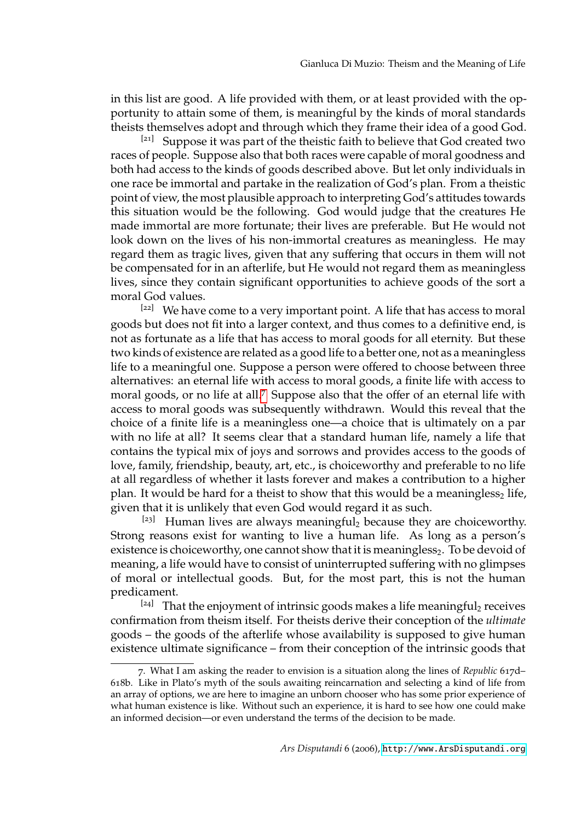in this list are good. A life provided with them, or at least provided with the opportunity to attain some of them, is meaningful by the kinds of moral standards theists themselves adopt and through which they frame their idea of a good God.

 $[21]$  Suppose it was part of the theistic faith to believe that God created two races of people. Suppose also that both races were capable of moral goodness and both had access to the kinds of goods described above. But let only individuals in one race be immortal and partake in the realization of God's plan. From a theistic point of view, the most plausible approach to interpreting God's attitudes towards this situation would be the following. God would judge that the creatures He made immortal are more fortunate; their lives are preferable. But He would not look down on the lives of his non-immortal creatures as meaningless. He may regard them as tragic lives, given that any suffering that occurs in them will not be compensated for in an afterlife, but He would not regard them as meaningless lives, since they contain significant opportunities to achieve goods of the sort a moral God values.

 $[22]$  We have come to a very important point. A life that has access to moral goods but does not fit into a larger context, and thus comes to a definitive end, is not as fortunate as a life that has access to moral goods for all eternity. But these two kinds of existence are related as a good life to a better one, not as a meaningless life to a meaningful one. Suppose a person were offered to choose between three alternatives: an eternal life with access to moral goods, a finite life with access to moral goods, or no life at all.<sup>[7](#page-6-0)</sup> Suppose also that the offer of an eternal life with access to moral goods was subsequently withdrawn. Would this reveal that the choice of a finite life is a meaningless one—a choice that is ultimately on a par with no life at all? It seems clear that a standard human life, namely a life that contains the typical mix of joys and sorrows and provides access to the goods of love, family, friendship, beauty, art, etc., is choiceworthy and preferable to no life at all regardless of whether it lasts forever and makes a contribution to a higher plan. It would be hard for a theist to show that this would be a meaningless<sub>2</sub> life, given that it is unlikely that even God would regard it as such.

 $[23]$  Human lives are always meaningful<sub>2</sub> because they are choiceworthy. Strong reasons exist for wanting to live a human life. As long as a person's existence is choiceworthy, one cannot show that it is meaningless<sub>2</sub>. To be devoid of meaning, a life would have to consist of uninterrupted suffering with no glimpses of moral or intellectual goods. But, for the most part, this is not the human predicament.

 $[24]$  That the enjoyment of intrinsic goods makes a life meaningful<sub>2</sub> receives confirmation from theism itself. For theists derive their conception of the *ultimate* goods – the goods of the afterlife whose availability is supposed to give human existence ultimate significance – from their conception of the intrinsic goods that

<span id="page-6-0"></span><sup>7</sup>. What I am asking the reader to envision is a situation along the lines of *Republic* 617d– 618b. Like in Plato's myth of the souls awaiting reincarnation and selecting a kind of life from an array of options, we are here to imagine an unborn chooser who has some prior experience of what human existence is like. Without such an experience, it is hard to see how one could make an informed decision—or even understand the terms of the decision to be made.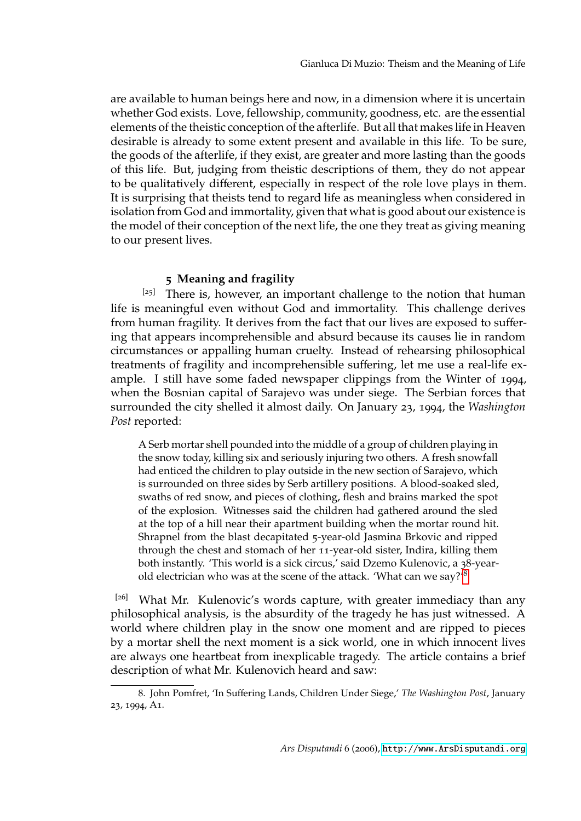are available to human beings here and now, in a dimension where it is uncertain whether God exists. Love, fellowship, community, goodness, etc. are the essential elements of the theistic conception of the afterlife. But all that makes life in Heaven desirable is already to some extent present and available in this life. To be sure, the goods of the afterlife, if they exist, are greater and more lasting than the goods of this life. But, judging from theistic descriptions of them, they do not appear to be qualitatively different, especially in respect of the role love plays in them. It is surprising that theists tend to regard life as meaningless when considered in isolation from God and immortality, given that what is good about our existence is the model of their conception of the next life, the one they treat as giving meaning to our present lives.

# 5 **Meaning and fragility**

[25] There is, however, an important challenge to the notion that human life is meaningful even without God and immortality. This challenge derives from human fragility. It derives from the fact that our lives are exposed to suffering that appears incomprehensible and absurd because its causes lie in random circumstances or appalling human cruelty. Instead of rehearsing philosophical treatments of fragility and incomprehensible suffering, let me use a real-life example. I still have some faded newspaper clippings from the Winter of 1994, when the Bosnian capital of Sarajevo was under siege. The Serbian forces that surrounded the city shelled it almost daily. On January 23, 1994, the *Washington Post* reported:

A Serb mortar shell pounded into the middle of a group of children playing in the snow today, killing six and seriously injuring two others. A fresh snowfall had enticed the children to play outside in the new section of Sarajevo, which is surrounded on three sides by Serb artillery positions. A blood-soaked sled, swaths of red snow, and pieces of clothing, flesh and brains marked the spot of the explosion. Witnesses said the children had gathered around the sled at the top of a hill near their apartment building when the mortar round hit. Shrapnel from the blast decapitated 5-year-old Jasmina Brkovic and ripped through the chest and stomach of her 11-year-old sister, Indira, killing them both instantly. 'This world is a sick circus,' said Dzemo Kulenovic, a 38-yearold electrician who was at the scene of the attack. 'What can we say?'[8](#page-7-0)

[26] What Mr. Kulenovic's words capture, with greater immediacy than any philosophical analysis, is the absurdity of the tragedy he has just witnessed. A world where children play in the snow one moment and are ripped to pieces by a mortar shell the next moment is a sick world, one in which innocent lives are always one heartbeat from inexplicable tragedy. The article contains a brief description of what Mr. Kulenovich heard and saw:

<span id="page-7-0"></span><sup>8</sup>. John Pomfret, 'In Suffering Lands, Children Under Siege,' *The Washington Post*, January 23, 1994, A1.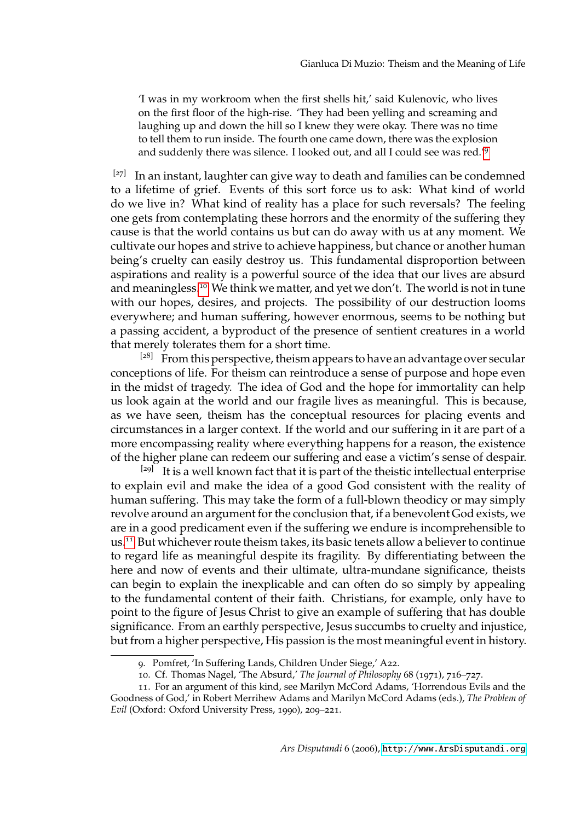'I was in my workroom when the first shells hit,' said Kulenovic, who lives on the first floor of the high-rise. 'They had been yelling and screaming and laughing up and down the hill so I knew they were okay. There was no time to tell them to run inside. The fourth one came down, there was the explosion and suddenly there was silence. I looked out, and all I could see was red.'[9](#page-8-0)

 $[27]$  In an instant, laughter can give way to death and families can be condemned to a lifetime of grief. Events of this sort force us to ask: What kind of world do we live in? What kind of reality has a place for such reversals? The feeling one gets from contemplating these horrors and the enormity of the suffering they cause is that the world contains us but can do away with us at any moment. We cultivate our hopes and strive to achieve happiness, but chance or another human being's cruelty can easily destroy us. This fundamental disproportion between aspirations and reality is a powerful source of the idea that our lives are absurd and meaningless.[10](#page-8-1) We think we matter, and yet we don't. The world is not in tune with our hopes, desires, and projects. The possibility of our destruction looms everywhere; and human suffering, however enormous, seems to be nothing but a passing accident, a byproduct of the presence of sentient creatures in a world that merely tolerates them for a short time.

 $[28]$  From this perspective, theism appears to have an advantage over secular conceptions of life. For theism can reintroduce a sense of purpose and hope even in the midst of tragedy. The idea of God and the hope for immortality can help us look again at the world and our fragile lives as meaningful. This is because, as we have seen, theism has the conceptual resources for placing events and circumstances in a larger context. If the world and our suffering in it are part of a more encompassing reality where everything happens for a reason, the existence of the higher plane can redeem our suffering and ease a victim's sense of despair.

<sup>[29]</sup> It is a well known fact that it is part of the theistic intellectual enterprise to explain evil and make the idea of a good God consistent with the reality of human suffering. This may take the form of a full-blown theodicy or may simply revolve around an argument for the conclusion that, if a benevolent God exists, we are in a good predicament even if the suffering we endure is incomprehensible to us.[11](#page-8-2) But whichever route theism takes, its basic tenets allow a believer to continue to regard life as meaningful despite its fragility. By differentiating between the here and now of events and their ultimate, ultra-mundane significance, theists can begin to explain the inexplicable and can often do so simply by appealing to the fundamental content of their faith. Christians, for example, only have to point to the figure of Jesus Christ to give an example of suffering that has double significance. From an earthly perspective, Jesus succumbs to cruelty and injustice, but from a higher perspective, His passion is the most meaningful event in history.

<span id="page-8-1"></span><span id="page-8-0"></span><sup>9</sup>. Pomfret, 'In Suffering Lands, Children Under Siege,' A22.

<span id="page-8-2"></span><sup>10</sup>. Cf. Thomas Nagel, 'The Absurd,' *The Journal of Philosophy* 68 (1971), 716–727.

<sup>11</sup>. For an argument of this kind, see Marilyn McCord Adams, 'Horrendous Evils and the Goodness of God,' in Robert Merrihew Adams and Marilyn McCord Adams (eds.), *The Problem of Evil* (Oxford: Oxford University Press, 1990), 209–221.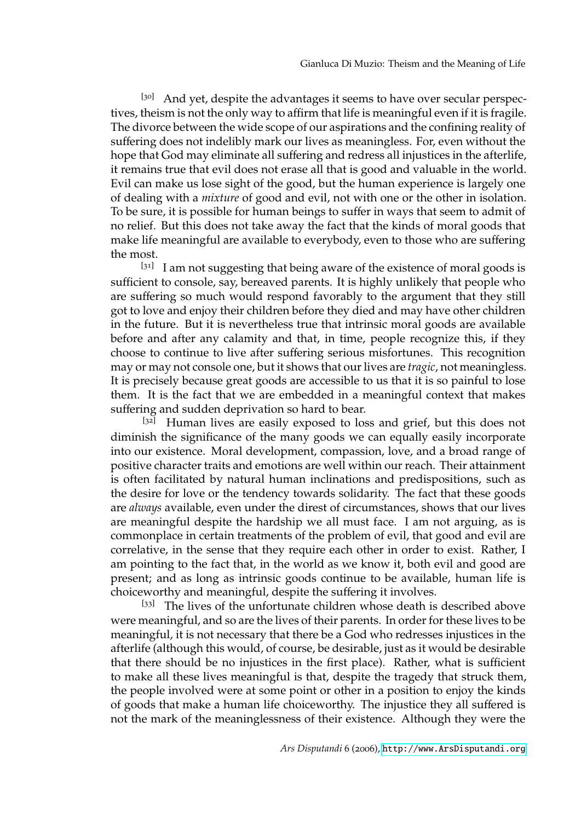[30] And yet, despite the advantages it seems to have over secular perspectives, theism is not the only way to affirm that life is meaningful even if it is fragile. The divorce between the wide scope of our aspirations and the confining reality of suffering does not indelibly mark our lives as meaningless. For, even without the hope that God may eliminate all suffering and redress all injustices in the afterlife, it remains true that evil does not erase all that is good and valuable in the world. Evil can make us lose sight of the good, but the human experience is largely one of dealing with a *mixture* of good and evil, not with one or the other in isolation. To be sure, it is possible for human beings to suffer in ways that seem to admit of no relief. But this does not take away the fact that the kinds of moral goods that make life meaningful are available to everybody, even to those who are suffering the most.

 $[31]$  I am not suggesting that being aware of the existence of moral goods is sufficient to console, say, bereaved parents. It is highly unlikely that people who are suffering so much would respond favorably to the argument that they still got to love and enjoy their children before they died and may have other children in the future. But it is nevertheless true that intrinsic moral goods are available before and after any calamity and that, in time, people recognize this, if they choose to continue to live after suffering serious misfortunes. This recognition may or may not console one, but it shows that our lives are *tragic*, not meaningless. It is precisely because great goods are accessible to us that it is so painful to lose them. It is the fact that we are embedded in a meaningful context that makes suffering and sudden deprivation so hard to bear.

 $[32]$  Human lives are easily exposed to loss and grief, but this does not diminish the significance of the many goods we can equally easily incorporate into our existence. Moral development, compassion, love, and a broad range of positive character traits and emotions are well within our reach. Their attainment is often facilitated by natural human inclinations and predispositions, such as the desire for love or the tendency towards solidarity. The fact that these goods are *always* available, even under the direst of circumstances, shows that our lives are meaningful despite the hardship we all must face. I am not arguing, as is commonplace in certain treatments of the problem of evil, that good and evil are correlative, in the sense that they require each other in order to exist. Rather, I am pointing to the fact that, in the world as we know it, both evil and good are present; and as long as intrinsic goods continue to be available, human life is choiceworthy and meaningful, despite the suffering it involves.

[33] The lives of the unfortunate children whose death is described above were meaningful, and so are the lives of their parents. In order for these lives to be meaningful, it is not necessary that there be a God who redresses injustices in the afterlife (although this would, of course, be desirable, just as it would be desirable that there should be no injustices in the first place). Rather, what is sufficient to make all these lives meaningful is that, despite the tragedy that struck them, the people involved were at some point or other in a position to enjoy the kinds of goods that make a human life choiceworthy. The injustice they all suffered is not the mark of the meaninglessness of their existence. Although they were the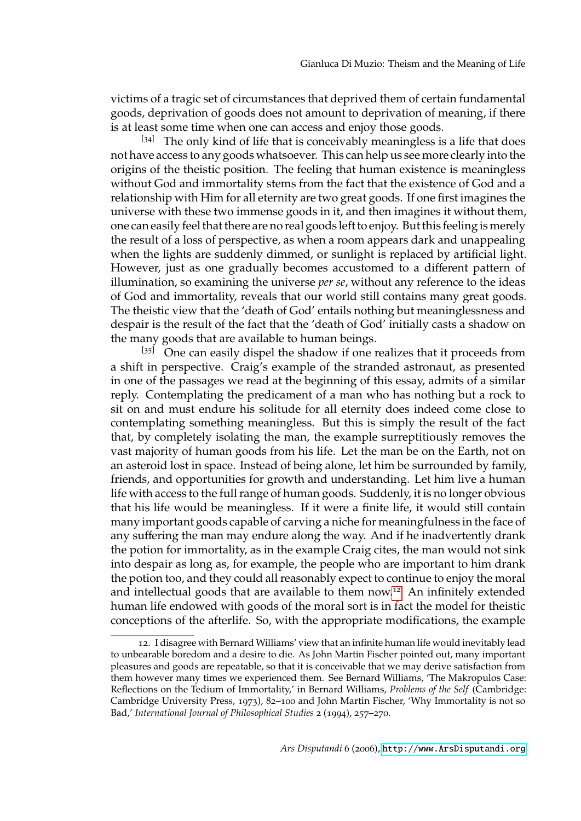victims of a tragic set of circumstances that deprived them of certain fundamental goods, deprivation of goods does not amount to deprivation of meaning, if there is at least some time when one can access and enjoy those goods.

 $[34]$  The only kind of life that is conceivably meaningless is a life that does not have access to any goods whatsoever. This can help us see more clearly into the origins of the theistic position. The feeling that human existence is meaningless without God and immortality stems from the fact that the existence of God and a relationship with Him for all eternity are two great goods. If one first imagines the universe with these two immense goods in it, and then imagines it without them, one can easily feel that there are no real goods left to enjoy. But this feeling is merely the result of a loss of perspective, as when a room appears dark and unappealing when the lights are suddenly dimmed, or sunlight is replaced by artificial light. However, just as one gradually becomes accustomed to a different pattern of illumination, so examining the universe *per se*, without any reference to the ideas of God and immortality, reveals that our world still contains many great goods. The theistic view that the 'death of God' entails nothing but meaninglessness and despair is the result of the fact that the 'death of God' initially casts a shadow on the many goods that are available to human beings.

 $[35]$  One can easily dispel the shadow if one realizes that it proceeds from a shift in perspective. Craig's example of the stranded astronaut, as presented in one of the passages we read at the beginning of this essay, admits of a similar reply. Contemplating the predicament of a man who has nothing but a rock to sit on and must endure his solitude for all eternity does indeed come close to contemplating something meaningless. But this is simply the result of the fact that, by completely isolating the man, the example surreptitiously removes the vast majority of human goods from his life. Let the man be on the Earth, not on an asteroid lost in space. Instead of being alone, let him be surrounded by family, friends, and opportunities for growth and understanding. Let him live a human life with access to the full range of human goods. Suddenly, it is no longer obvious that his life would be meaningless. If it were a finite life, it would still contain many important goods capable of carving a niche for meaningfulness in the face of any suffering the man may endure along the way. And if he inadvertently drank the potion for immortality, as in the example Craig cites, the man would not sink into despair as long as, for example, the people who are important to him drank the potion too, and they could all reasonably expect to continue to enjoy the moral and intellectual goods that are available to them now.<sup>[12](#page-10-0)</sup> An infinitely extended human life endowed with goods of the moral sort is in fact the model for theistic conceptions of the afterlife. So, with the appropriate modifications, the example

<span id="page-10-0"></span><sup>12</sup>. I disagree with Bernard Williams' view that an infinite human life would inevitably lead to unbearable boredom and a desire to die. As John Martin Fischer pointed out, many important pleasures and goods are repeatable, so that it is conceivable that we may derive satisfaction from them however many times we experienced them. See Bernard Williams, 'The Makropulos Case: Reflections on the Tedium of Immortality,' in Bernard Williams, *Problems of the Self* (Cambridge: Cambridge University Press, 1973), 82–100 and John Martin Fischer, 'Why Immortality is not so Bad,' *International Journal of Philosophical Studies* 2 (1994), 257–270.